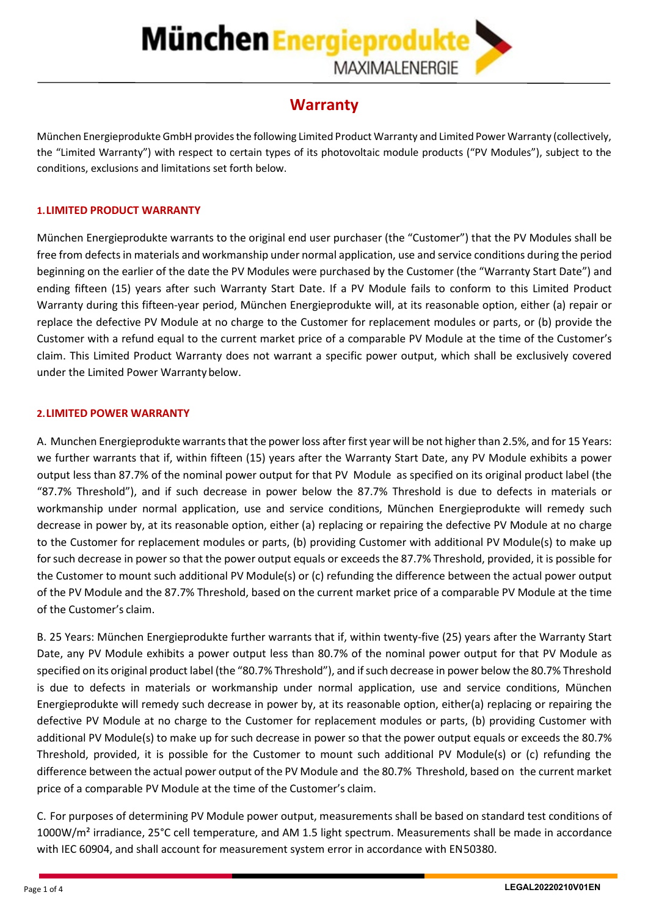# **München Energieprodukte MAXIMALENERGIE**

# **Warranty**

München Energieprodukte GmbH provides the following Limited Product Warranty and Limited Power Warranty (collectively, the "Limited Warranty") with respect to certain types of its photovoltaic module products ("PV Modules"), subject to the conditions, exclusions and limitations set forth below.

### **1.LIMITED PRODUCT WARRANTY**

München Energieprodukte warrants to the original end user purchaser (the "Customer") that the PV Modules shall be free from defects in materials and workmanship under normal application, use and service conditions during the period beginning on the earlier of the date the PV Modules were purchased by the Customer (the "Warranty Start Date") and ending fifteen (15) years after such Warranty Start Date. If a PV Module fails to conform to this Limited Product Warranty during this fifteen-year period, München Energieprodukte will, at its reasonable option, either (a) repair or replace the defective PV Module at no charge to the Customer for replacement modules or parts, or (b) provide the Customer with a refund equal to the current market price of a comparable PV Module at the time of the Customer's claim. This Limited Product Warranty does not warrant a specific power output, which shall be exclusively covered under the Limited Power Warranty below.

### **2.LIMITED POWER WARRANTY**

A. Munchen Energieprodukte warrants that the power loss after first year will be not higher than 2.5%, and for 15 Years: we further warrants that if, within fifteen (15) years after the Warranty Start Date, any PV Module exhibits a power output less than 87.7% of the nominal power output for that PV Module as specified on its original product label (the "87.7% Threshold"), and if such decrease in power below the 87.7% Threshold is due to defects in materials or workmanship under normal application, use and service conditions, München Energieprodukte will remedy such decrease in power by, at its reasonable option, either (a) replacing or repairing the defective PV Module at no charge to the Customer for replacement modules or parts, (b) providing Customer with additional PV Module(s) to make up for such decrease in power so that the power output equals or exceeds the 87.7% Threshold, provided, it is possible for the Customer to mount such additional PV Module(s) or (c) refunding the difference between the actual power output of the PV Module and the 87.7% Threshold, based on the current market price of a comparable PV Module at the time of the Customer's claim.

B. 25 Years: München Energieprodukte further warrants that if, within twenty-five (25) years after the Warranty Start Date, any PV Module exhibits a power output less than 80.7% of the nominal power output for that PV Module as specified on its original product label (the "80.7% Threshold"), and if such decrease in power below the 80.7% Threshold is due to defects in materials or workmanship under normal application, use and service conditions, München Energieprodukte will remedy such decrease in power by, at its reasonable option, either(a) replacing or repairing the defective PV Module at no charge to the Customer for replacement modules or parts, (b) providing Customer with additional PV Module(s) to make up for such decrease in power so that the power output equals or exceeds the 80.7% Threshold, provided, it is possible for the Customer to mount such additional PV Module(s) or (c) refunding the difference between the actual power output of the PV Module and the 80.7% Threshold, based on the current market price of a comparable PV Module at the time of the Customer's claim.

C. For purposes of determining PV Module power output, measurements shall be based on standard test conditions of 1000W/m<sup>2</sup> irradiance, 25°C cell temperature, and AM 1.5 light spectrum. Measurements shall be made in accordance with IEC 60904, and shall account for measurement system error in accordance with EN50380.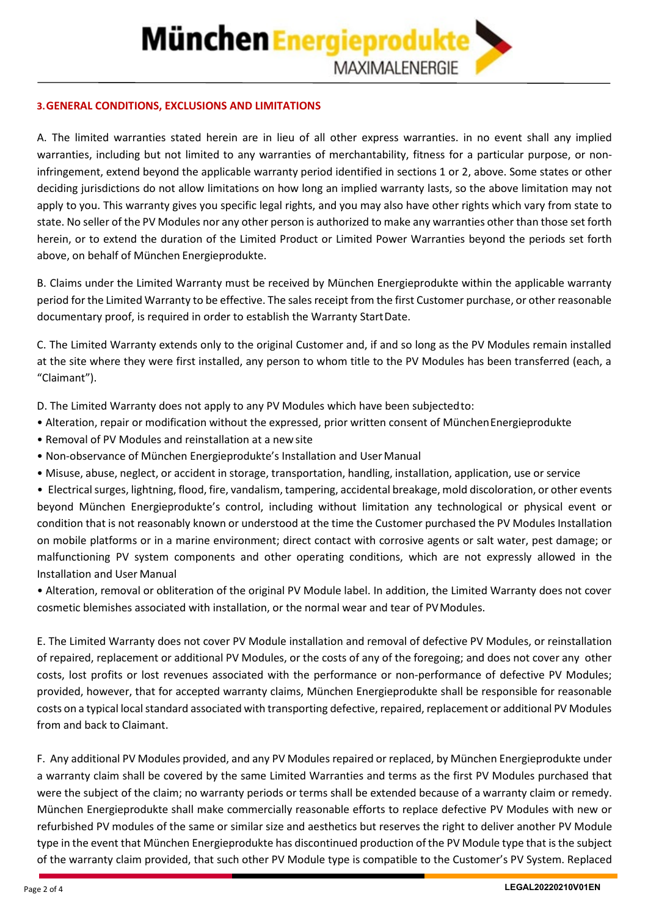## **3.GENERAL CONDITIONS, EXCLUSIONS AND LIMITATIONS**

A. The limited warranties stated herein are in lieu of all other express warranties. in no event shall any implied warranties, including but not limited to any warranties of merchantability, fitness for a particular purpose, or noninfringement, extend beyond the applicable warranty period identified in sections 1 or 2, above. Some states or other deciding jurisdictions do not allow limitations on how long an implied warranty lasts, so the above limitation may not apply to you. This warranty gives you specific legal rights, and you may also have other rights which vary from state to state. No seller of the PV Modules nor any other person is authorized to make any warranties other than those set forth herein, or to extend the duration of the Limited Product or Limited Power Warranties beyond the periods set forth above, on behalf of München Energieprodukte.

B. Claims under the Limited Warranty must be received by München Energieprodukte within the applicable warranty period for the Limited Warranty to be effective. The sales receipt from the first Customer purchase, or other reasonable documentary proof, is required in order to establish the Warranty StartDate.

C. The Limited Warranty extends only to the original Customer and, if and so long as the PV Modules remain installed at the site where they were first installed, any person to whom title to the PV Modules has been transferred (each, a "Claimant").

D. The Limited Warranty does not apply to any PV Modules which have been subjectedto:

- Alteration, repair or modification without the expressed, prior written consent of MünchenEnergieprodukte
- Removal of PV Modules and reinstallation at a new site
- Non-observance of München Energieprodukte's Installation and UserManual
- Misuse, abuse, neglect, or accident in storage, transportation, handling, installation, application, use or service

• Electrical surges, lightning, flood, fire, vandalism, tampering, accidental breakage, mold discoloration, or other events beyond München Energieprodukte's control, including without limitation any technological or physical event or condition that is not reasonably known or understood at the time the Customer purchased the PV Modules Installation on mobile platforms or in a marine environment; direct contact with corrosive agents or salt water, pest damage; or malfunctioning PV system components and other operating conditions, which are not expressly allowed in the Installation and User Manual

• Alteration, removal or obliteration of the original PV Module label. In addition, the Limited Warranty does not cover cosmetic blemishes associated with installation, or the normal wear and tear of PVModules.

E. The Limited Warranty does not cover PV Module installation and removal of defective PV Modules, or reinstallation of repaired, replacement or additional PV Modules, or the costs of any of the foregoing; and does not cover any other costs, lost profits or lost revenues associated with the performance or non-performance of defective PV Modules; provided, however, that for accepted warranty claims, München Energieprodukte shall be responsible for reasonable costs on a typical local standard associated with transporting defective, repaired, replacement or additional PV Modules from and back to Claimant.

F. Any additional PV Modules provided, and any PV Modules repaired or replaced, by München Energieprodukte under a warranty claim shall be covered by the same Limited Warranties and terms as the first PV Modules purchased that were the subject of the claim; no warranty periods or terms shall be extended because of a warranty claim or remedy. München Energieprodukte shall make commercially reasonable efforts to replace defective PV Modules with new or refurbished PV modules of the same or similar size and aesthetics but reserves the right to deliver another PV Module type in the event that München Energieprodukte has discontinued production of the PV Module type that is the subject of the warranty claim provided, that such other PV Module type is compatible to the Customer's PV System. Replaced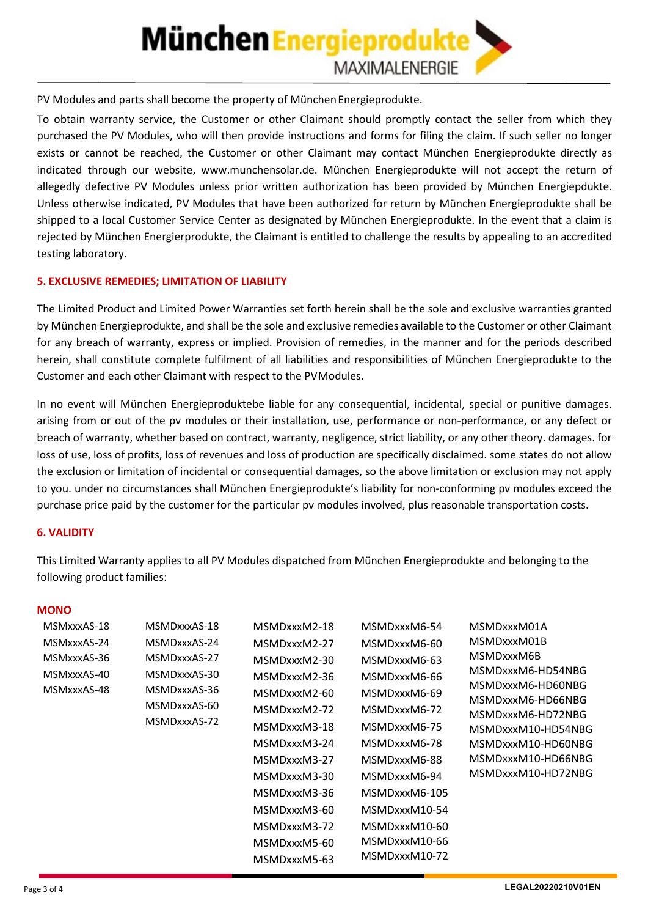# **München Energieprodukte MAXIMALENERGIE**

PV Modules and parts shall become the property of München Energieprodukte.

To obtain warranty service, the Customer or other Claimant should promptly contact the seller from which they purchased the PV Modules, who will then provide instructions and forms for filing the claim. If such seller no longer exists or cannot be reached, the Customer or other Claimant may contact München Energieprodukte directly as indicated through our website, [www.munchensolar.de.](http://www.munchensolar.de/) München Energieprodukte will not accept the return of allegedly defective PV Modules unless prior written authorization has been provided by München Energiepdukte. Unless otherwise indicated, PV Modules that have been authorized for return by München Energieprodukte shall be shipped to a local Customer Service Center as designated by München Energieprodukte. In the event that a claim is rejected by München Energierprodukte, the Claimant is entitled to challenge the results by appealing to an accredited testing laboratory.

## **5. EXCLUSIVE REMEDIES; LIMITATION OF LIABILITY**

The Limited Product and Limited Power Warranties set forth herein shall be the sole and exclusive warranties granted by München Energieprodukte, and shall be the sole and exclusive remedies available to the Customer or other Claimant for any breach of warranty, express or implied. Provision of remedies, in the manner and for the periods described herein, shall constitute complete fulfilment of all liabilities and responsibilities of München Energieprodukte to the Customer and each other Claimant with respect to the PVModules.

In no event will München Energieproduktebe liable for any consequential, incidental, special or punitive damages. arising from or out of the pv modules or their installation, use, performance or non-performance, or any defect or breach of warranty, whether based on contract, warranty, negligence, strict liability, or any other theory. damages. for loss of use, loss of profits, loss of revenues and loss of production are specifically disclaimed. some states do not allow the exclusion or limitation of incidental or consequential damages, so the above limitation or exclusion may not apply to you. under no circumstances shall München Energieprodukte's liability for non-conforming pv modules exceed the purchase price paid by the customer for the particular pv modules involved, plus reasonable transportation costs.

#### **6. VALIDITY**

This Limited Warranty applies to all PV Modules dispatched from München Energieprodukte and belonging to the following product families:

#### **MONO**

| MSMxxxAS-18 | MSMDxxxAS-18                                 | MSMDxxxM2-18 | MSMDxxxM6-54  | MSMDxxxM01A                                                                      |
|-------------|----------------------------------------------|--------------|---------------|----------------------------------------------------------------------------------|
| MSMxxxAS-24 | MSMDxxxAS-24                                 | MSMDxxxM2-27 | MSMDxxxM6-60  | MSMDxxxM01B                                                                      |
| MSMxxxAS-36 | MSMDxxxAS-27                                 | MSMDxxxM2-30 | MSMDxxxM6-63  | MSMDxxxM6B                                                                       |
| MSMxxxAS-40 | MSMDxxxAS-30                                 | MSMDxxxM2-36 | MSMDxxxM6-66  | MSMDxxxM6-HD54NBG<br>MSMDxxxM6-HD60NBG<br>MSMDxxxM6-HD66NBG<br>MSMDxxxM6-HD72NBG |
| MSMxxxAS-48 | MSMDxxxAS-36<br>MSMDxxxAS-60<br>MSMDxxxAS-72 | MSMDxxxM2-60 | MSMDxxxM6-69  |                                                                                  |
|             |                                              | MSMDxxxM2-72 | MSMDxxxM6-72  |                                                                                  |
|             |                                              |              |               |                                                                                  |
|             |                                              | MSMDxxxM3-18 | MSMDxxxM6-75  | MSMDxxxM10-HD54NBG                                                               |
|             |                                              | MSMDxxxM3-24 | MSMDxxxM6-78  | MSMDxxxM10-HD60NBG                                                               |
|             |                                              | MSMDxxxM3-27 | MSMDxxxM6-88  | MSMDxxxM10-HD66NBG                                                               |
|             |                                              | MSMDxxxM3-30 | MSMDxxxM6-94  | MSMDxxxM10-HD72NBG                                                               |
|             |                                              | MSMDxxxM3-36 | MSMDxxxM6-105 |                                                                                  |
|             |                                              | MSMDxxxM3-60 | MSMDxxxM10-54 |                                                                                  |
|             |                                              | MSMDxxxM3-72 | MSMDxxxM10-60 |                                                                                  |
|             |                                              | MSMDxxxM5-60 | MSMDxxxM10-66 |                                                                                  |
|             |                                              | MSMDxxxM5-63 | MSMDxxxM10-72 |                                                                                  |